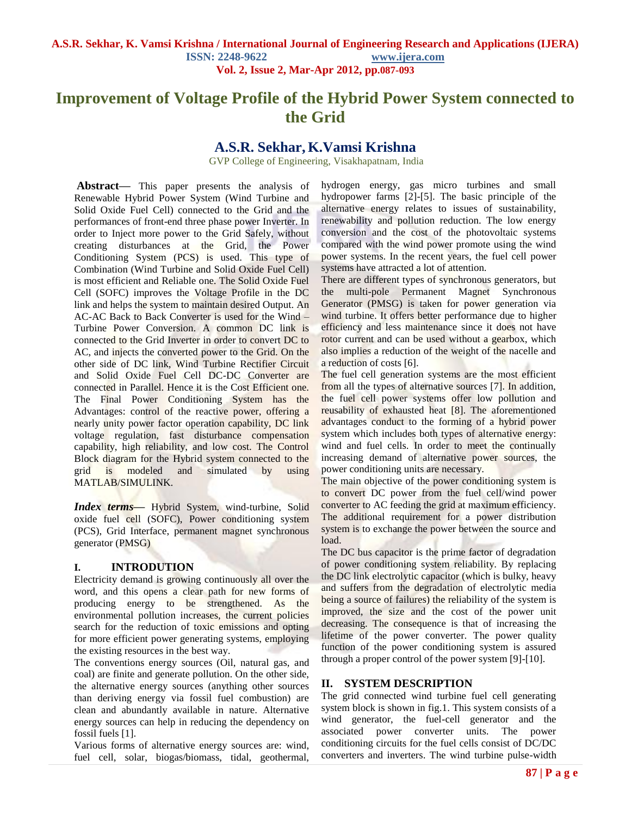# **Improvement of Voltage Profile of the Hybrid Power System connected to the Grid**

## **A.S.R. Sekhar, K.Vamsi Krishna**

GVP College of Engineering, Visakhapatnam, India

**Abstract—** This paper presents the analysis of Renewable Hybrid Power System (Wind Turbine and Solid Oxide Fuel Cell) connected to the Grid and the performances of front-end three phase power Inverter. In order to Inject more power to the Grid Safely, without creating disturbances at the Grid, the Power Conditioning System (PCS) is used. This type of Combination (Wind Turbine and Solid Oxide Fuel Cell) is most efficient and Reliable one. The Solid Oxide Fuel Cell (SOFC) improves the Voltage Profile in the DC link and helps the system to maintain desired Output. An AC-AC Back to Back Converter is used for the Wind – Turbine Power Conversion. A common DC link is connected to the Grid Inverter in order to convert DC to AC, and injects the converted power to the Grid. On the other side of DC link, Wind Turbine Rectifier Circuit and Solid Oxide Fuel Cell DC-DC Converter are connected in Parallel. Hence it is the Cost Efficient one. The Final Power Conditioning System has the Advantages: control of the reactive power, offering a nearly unity power factor operation capability, DC link voltage regulation, fast disturbance compensation capability, high reliability, and low cost. The Control Block diagram for the Hybrid system connected to the grid is modeled and simulated by using MATLAB/SIMULINK.

*Index terms***—** Hybrid System, wind-turbine, Solid oxide fuel cell (SOFC), Power conditioning system (PCS), Grid Interface, permanent magnet synchronous generator (PMSG)

## **I. INTRODUTION**

Electricity demand is growing continuously all over the word, and this opens a clear path for new forms of producing energy to be strengthened. As the environmental pollution increases, the current policies search for the reduction of toxic emissions and opting for more efficient power generating systems, employing the existing resources in the best way.

The conventions energy sources (Oil, natural gas, and coal) are finite and generate pollution. On the other side, the alternative energy sources (anything other sources than deriving energy via fossil fuel combustion) are clean and abundantly available in nature. Alternative energy sources can help in reducing the dependency on fossil fuels [1].

Various forms of alternative energy sources are: wind, fuel cell, solar, biogas/biomass, tidal, geothermal, hydrogen energy, gas micro turbines and small hydropower farms [2]-[5]. The basic principle of the alternative energy relates to issues of sustainability, renewability and pollution reduction. The low energy conversion and the cost of the photovoltaic systems compared with the wind power promote using the wind power systems. In the recent years, the fuel cell power systems have attracted a lot of attention.

There are different types of synchronous generators, but the multi-pole Permanent Magnet Synchronous Generator (PMSG) is taken for power generation via wind turbine. It offers better performance due to higher efficiency and less maintenance since it does not have rotor current and can be used without a gearbox, which also implies a reduction of the weight of the nacelle and a reduction of costs [6].

The fuel cell generation systems are the most efficient from all the types of alternative sources [7]. In addition, the fuel cell power systems offer low pollution and reusability of exhausted heat [8]. The aforementioned advantages conduct to the forming of a hybrid power system which includes both types of alternative energy: wind and fuel cells. In order to meet the continually increasing demand of alternative power sources, the power conditioning units are necessary.

The main objective of the power conditioning system is to convert DC power from the fuel cell/wind power converter to AC feeding the grid at maximum efficiency. The additional requirement for a power distribution system is to exchange the power between the source and load.

The DC bus capacitor is the prime factor of degradation of power conditioning system reliability. By replacing the DC link electrolytic capacitor (which is bulky, heavy and suffers from the degradation of electrolytic media being a source of failures) the reliability of the system is improved, the size and the cost of the power unit decreasing. The consequence is that of increasing the lifetime of the power converter. The power quality function of the power conditioning system is assured through a proper control of the power system [9]-[10].

## **II. SYSTEM DESCRIPTION**

The grid connected wind turbine fuel cell generating system block is shown in fig.1. This system consists of a wind generator, the fuel-cell generator and the associated power converter units. The power conditioning circuits for the fuel cells consist of DC/DC converters and inverters. The wind turbine pulse-width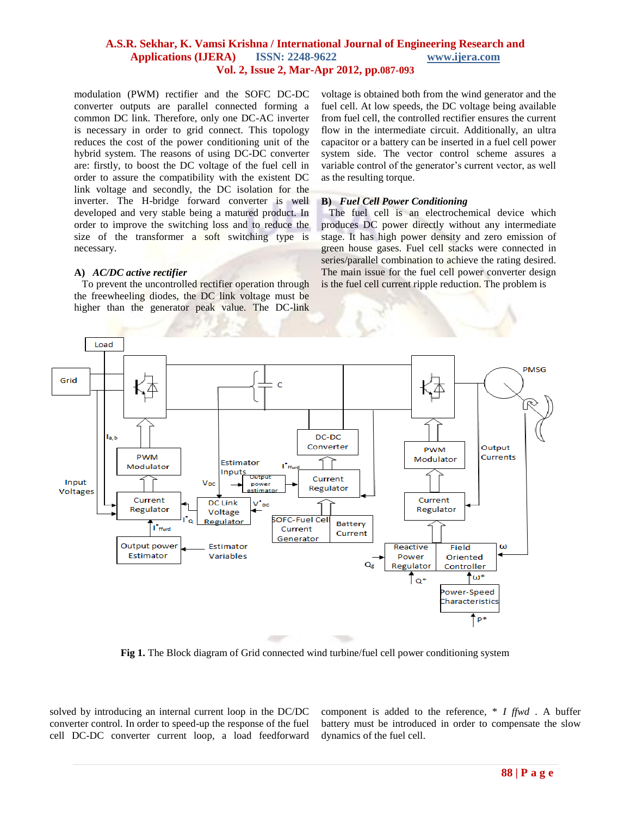modulation (PWM) rectifier and the SOFC DC-DC converter outputs are parallel connected forming a common DC link. Therefore, only one DC-AC inverter is necessary in order to grid connect. This topology reduces the cost of the power conditioning unit of the hybrid system. The reasons of using DC-DC converter are: firstly, to boost the DC voltage of the fuel cell in order to assure the compatibility with the existent DC link voltage and secondly, the DC isolation for the inverter. The H-bridge forward converter is well developed and very stable being a matured product. In order to improve the switching loss and to reduce the size of the transformer a soft switching type is necessary.

#### **A)** *AC/DC active rectifier*

 To prevent the uncontrolled rectifier operation through the freewheeling diodes, the DC link voltage must be higher than the generator peak value. The DC-link

voltage is obtained both from the wind generator and the fuel cell. At low speeds, the DC voltage being available from fuel cell, the controlled rectifier ensures the current flow in the intermediate circuit. Additionally, an ultra capacitor or a battery can be inserted in a fuel cell power system side. The vector control scheme assures a variable control of the generator's current vector, as well as the resulting torque.

#### **B)** *Fuel Cell Power Conditioning*

 The fuel cell is an electrochemical device which produces DC power directly without any intermediate stage. It has high power density and zero emission of green house gases. Fuel cell stacks were connected in series/parallel combination to achieve the rating desired. The main issue for the fuel cell power converter design is the fuel cell current ripple reduction. The problem is



**Fig 1.** The Block diagram of Grid connected wind turbine/fuel cell power conditioning system

solved by introducing an internal current loop in the DC/DC converter control. In order to speed-up the response of the fuel cell DC-DC converter current loop, a load feedforward

component is added to the reference, \* *I ffwd* . A buffer battery must be introduced in order to compensate the slow dynamics of the fuel cell.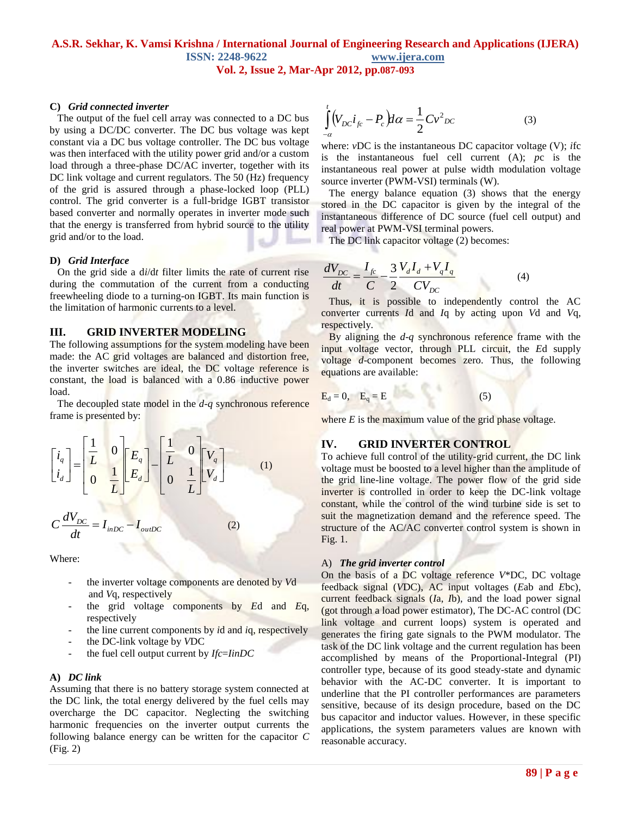### **C)** *Grid connected inverter*

 The output of the fuel cell array was connected to a DC bus by using a DC/DC converter. The DC bus voltage was kept constant via a DC bus voltage controller. The DC bus voltage was then interfaced with the utility power grid and/or a custom load through a three-phase DC/AC inverter, together with its DC link voltage and current regulators. The 50 (Hz) frequency of the grid is assured through a phase-locked loop (PLL) control. The grid converter is a full-bridge IGBT transistor based converter and normally operates in inverter mode such that the energy is transferred from hybrid source to the utility grid and/or to the load.

#### **D)** *Grid Interface*

 On the grid side a d*i*/d*t* filter limits the rate of current rise during the commutation of the current from a conducting freewheeling diode to a turning-on IGBT. Its main function is the limitation of harmonic currents to a level.

#### **III. GRID INVERTER MODELING**

The following assumptions for the system modeling have been made: the AC grid voltages are balanced and distortion free, the inverter switches are ideal, the DC voltage reference is constant, the load is balanced with a 0.86 inductive power load.

 The decoupled state model in the *d-q* synchronous reference frame is presented by:

$$
\begin{bmatrix} i_a \\ i_d \end{bmatrix} = \begin{bmatrix} \frac{1}{L} & 0 \\ 0 & \frac{1}{L} \end{bmatrix} \begin{bmatrix} E_a \\ E_d \end{bmatrix} - \begin{bmatrix} \frac{1}{L} & 0 \\ 0 & \frac{1}{L} \end{bmatrix} \begin{bmatrix} V_a \\ V_d \end{bmatrix}
$$
\n
$$
C \frac{dV_{DC}}{dt} = I_{inDC} - I_{outDC}
$$
\n(2)

Where:

- the inverter voltage components are denoted by *V*d and *V*q, respectively
- the grid voltage components by *E*d and *E*q, respectively
- the line current components by *i*d and *i*q, respectively
- the DC-link voltage by *V*DC
- the fuel cell output current by *Ifc*=*IinDC*

#### **A)** *DC link*

Assuming that there is no battery storage system connected at the DC link, the total energy delivered by the fuel cells may overcharge the DC capacitor. Neglecting the switching harmonic frequencies on the inverter output currents the following balance energy can be written for the capacitor *C* (Fig. 2)

$$
\int_{-a}^{t} (V_{DC}i_{fc} - P_c) d\alpha = \frac{1}{2} C v_{DC}^2
$$
\n(3)

where: *v*DC is the instantaneous DC capacitor voltage (V); *i*fc is the instantaneous fuel cell current (A); *p*c is the instantaneous real power at pulse width modulation voltage source inverter (PWM-VSI) terminals (W).

 The energy balance equation (3) shows that the energy stored in the DC capacitor is given by the integral of the instantaneous difference of DC source (fuel cell output) and real power at PWM-VSI terminal powers.

The DC link capacitor voltage (2) becomes:

$$
\frac{dV_{DC}}{dt} = \frac{I_{fc}}{C} - \frac{3}{2} \frac{V_d I_d + V_q I_q}{CV_{DC}}
$$
(4)

 Thus, it is possible to independently control the AC converter currents *I*d and *I*q by acting upon *V*d and *V*q, respectively.

 By aligning the *d*-*q* synchronous reference frame with the input voltage vector, through PLL circuit, the *E*d supply voltage *d*-component becomes zero. Thus, the following equations are available:

$$
\mathbf{E}_{\mathbf{d}} = 0, \quad \mathbf{E}_{\mathbf{q}} = \mathbf{E} \tag{5}
$$

where  $E$  is the maximum value of the grid phase voltage.

#### **IV. GRID INVERTER CONTROL**

To achieve full control of the utility-grid current, the DC link voltage must be boosted to a level higher than the amplitude of the grid line-line voltage. The power flow of the grid side inverter is controlled in order to keep the DC-link voltage constant, while the control of the wind turbine side is set to suit the magnetization demand and the reference speed. The structure of the AC/AC converter control system is shown in Fig. 1.

#### A) *The grid inverter control*

On the basis of a DC voltage reference *V*\*DC, DC voltage feedback signal (*V*DC), AC input voltages (*E*ab and *E*bc), current feedback signals (*I*a, *I*b), and the load power signal (got through a load power estimator), The DC-AC control (DC link voltage and current loops) system is operated and generates the firing gate signals to the PWM modulator. The task of the DC link voltage and the current regulation has been accomplished by means of the Proportional-Integral (PI) controller type, because of its good steady-state and dynamic behavior with the AC-DC converter. It is important to underline that the PI controller performances are parameters sensitive, because of its design procedure, based on the DC bus capacitor and inductor values. However, in these specific applications, the system parameters values are known with reasonable accuracy.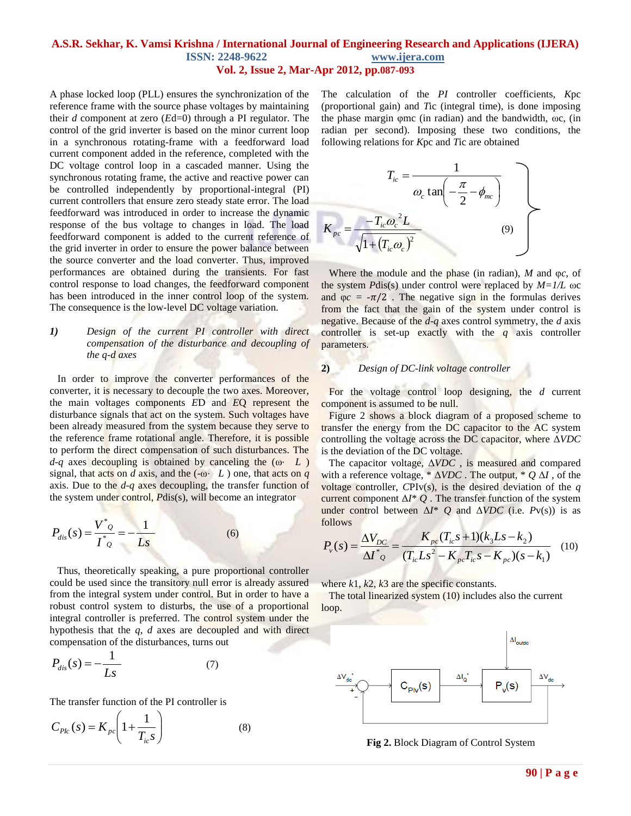A phase locked loop (PLL) ensures the synchronization of the reference frame with the source phase voltages by maintaining their *d* component at zero (*E*d=0) through a PI regulator. The control of the grid inverter is based on the minor current loop in a synchronous rotating-frame with a feedforward load current component added in the reference, completed with the DC voltage control loop in a cascaded manner. Using the synchronous rotating frame, the active and reactive power can be controlled independently by proportional-integral (PI) current controllers that ensure zero steady state error. The load feedforward was introduced in order to increase the dynamic response of the bus voltage to changes in load. The load feedforward component is added to the current reference of the grid inverter in order to ensure the power balance between the source converter and the load converter. Thus, improved performances are obtained during the transients. For fast control response to load changes, the feedforward component has been introduced in the inner control loop of the system. The consequence is the low-level DC voltage variation.

### *1) Design of the current PI controller with direct compensation of the disturbance and decoupling of the q-d axes*

 In order to improve the converter performances of the converter, it is necessary to decouple the two axes. Moreover, the main voltages components *E*D and *E*Q represent the disturbance signals that act on the system. Such voltages have been already measured from the system because they serve to the reference frame rotational angle. Therefore, it is possible to perform the direct compensation of such disturbances. The *d*-*q* axes decoupling is obtained by canceling the (ω⋅ *L* ) signal, that acts on *d* axis, and the (- $\omega$  *L*) one, that acts on *q* axis. Due to the *d*-*q* axes decoupling, the transfer function of the system under control, *P*dis(s), will become an integrator

$$
P_{dis}(s) = \frac{V^*_{Q}}{I^*_{Q}} = -\frac{1}{Ls}
$$
 (6)

 Thus, theoretically speaking, a pure proportional controller could be used since the transitory null error is already assured from the integral system under control. But in order to have a robust control system to disturbs, the use of a proportional integral controller is preferred. The control system under the hypothesis that the *q*, *d* axes are decoupled and with direct compensation of the disturbances, turns out

$$
P_{dis}(s) = -\frac{1}{Ls} \tag{7}
$$

The transfer function of the PI controller is

$$
C_{PL}(s) = K_{pc} \left( 1 + \frac{1}{T_{ic} s} \right)
$$
 (8)

The calculation of the *PI* controller coefficients, *K*pc (proportional gain) and *T*ic (integral time), is done imposing the phase margin φmc (in radian) and the bandwidth, ωc, (in radian per second). Imposing these two conditions, the following relations for *K*pc and *T*ic are obtained

$$
T_{ic} = \frac{1}{\omega_c \tan\left(-\frac{\pi}{2} - \phi_{mc}\right)}
$$

$$
K_{pc} = \frac{-T_{ic}\omega_c^2 L}{\sqrt{1 + (T_{ic}\omega_c)^2}}
$$
(9)

 Where the module and the phase (in radian), *M* and φ*c*, of the system *P*dis(s) under control were replaced by *M=1/L* ωc and  $\varphi c = -\pi/2$ . The negative sign in the formulas derives from the fact that the gain of the system under control is negative. Because of the *d*-*q* axes control symmetry, the *d* axis controller is set-up exactly with the *q* axis controller parameters.

## **2)** *Design of DC-link voltage controller*

 For the voltage control loop designing, the *d* current component is assumed to be null.

 Figure 2 shows a block diagram of a proposed scheme to transfer the energy from the DC capacitor to the AC system controlling the voltage across the DC capacitor, where Δ*VDC*  is the deviation of the DC voltage.

 The capacitor voltage, Δ*VDC* , is measured and compared with a reference voltage, \* Δ*VDC* . The output, \* *Q* Δ*I* , of the voltage controller, *C*PIv(s), is the desired deviation of the *q*  current component  $\Delta I^* Q$ . The transfer function of the system under control between  $\Delta I^*$  *Q* and  $\Delta VDC$  (i.e. *Pv(s))* is as follows

$$
P_v(s) = \frac{\Delta V_{DC}}{\Delta I^* \varrho} = \frac{K_{pc}(T_{ic}s + 1)(k_3 L s - k_2)}{(T_{ic} L s^2 - K_{pc} T_{ic} s - K_{pc})(s - k_1)}
$$
(10)

where *k*1, *k*2, *k*3 are the specific constants.

 The total linearized system (10) includes also the current loop.



**Fig 2.** Block Diagram of Control System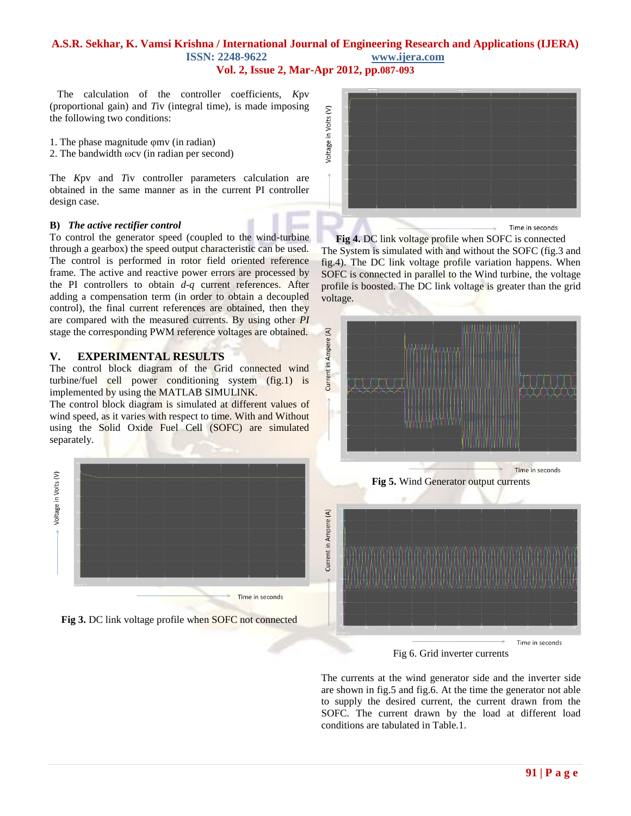# **A.S.R. Sekhar, K. Vamsi Krishna / International Journal of Engineering Research and Applications (IJERA) ISSN: 2248-9622 www.ijera.com**

**Vol. 2, Issue 2, Mar-Apr 2012, pp.087-093**

 The calculation of the controller coefficients, *K*pv (proportional gain) and *T*iv (integral time), is made imposing the following two conditions:

- 1. The phase magnitude φmv (in radian)
- 2. The bandwidth ωcv (in radian per second)

The *K*pv and *T*iv controller parameters calculation are obtained in the same manner as in the current PI controller design case.

#### **B)** *The active rectifier control*

To control the generator speed (coupled to the wind-turbine through a gearbox) the speed output characteristic can be used. The control is performed in rotor field oriented reference frame. The active and reactive power errors are processed by the PI controllers to obtain *d*-*q* current references. After adding a compensation term (in order to obtain a decoupled control), the final current references are obtained, then they are compared with the measured currents. By using other *PI*  stage the corresponding PWM reference voltages are obtained.

## **V. EXPERIMENTAL RESULTS**

The control block diagram of the Grid connected wind turbine/fuel cell power conditioning system (fig.1) is implemented by using the MATLAB SIMULINK.

The control block diagram is simulated at different values of wind speed, as it varies with respect to time. With and Without using the Solid Oxide Fuel Cell (SOFC) are simulated separately.



**Fig 3.** DC link voltage profile when SOFC not connected



**Fig 4.** DC link voltage profile when SOFC is connected The System is simulated with and without the SOFC (fig.3 and fig.4). The DC link voltage profile variation happens. When SOFC is connected in parallel to the Wind turbine, the voltage profile is boosted. The DC link voltage is greater than the grid voltage.



**Fig 5.** Wind Generator output currents



Fig 6. Grid inverter currents

The currents at the wind generator side and the inverter side are shown in fig.5 and fig.6. At the time the generator not able to supply the desired current, the current drawn from the SOFC. The current drawn by the load at different load conditions are tabulated in Table.1.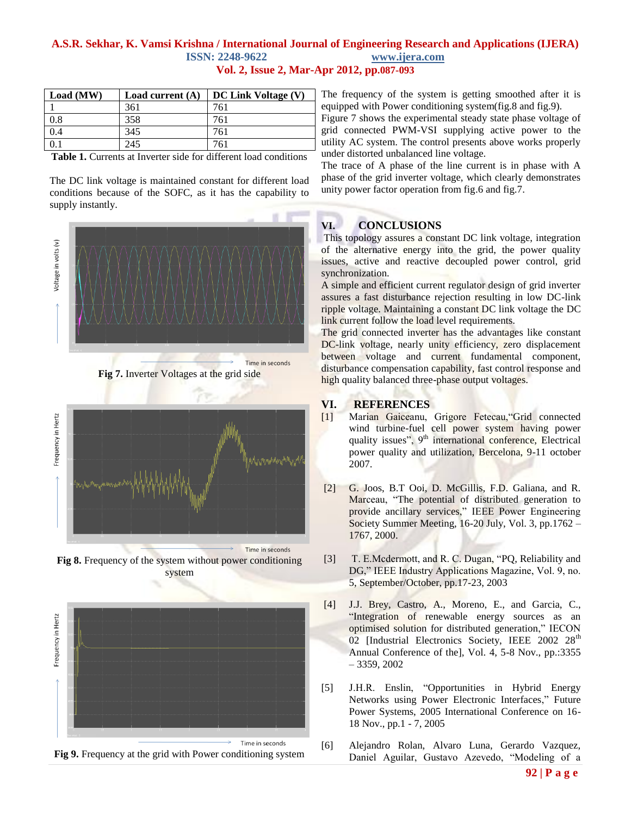| Load (MW) | Load current $(A)$ | DC Link Voltage (V) |
|-----------|--------------------|---------------------|
|           | 361                | 761                 |
| 0.8       | 358                | 761                 |
| 0.4       | 345                | 761                 |
|           | 245                | 761                 |

**Table 1.** Currents at Inverter side for different load conditions

The DC link voltage is maintained constant for different load conditions because of the SOFC, as it has the capability to supply instantly.



Time in seconds

**Fig 8.** Frequency of the system without power conditioning system





The frequency of the system is getting smoothed after it is equipped with Power conditioning system(fig.8 and fig.9).

Figure 7 shows the experimental steady state phase voltage of grid connected PWM-VSI supplying active power to the utility AC system. The control presents above works properly under distorted unbalanced line voltage.

The trace of A phase of the line current is in phase with A phase of the grid inverter voltage, which clearly demonstrates unity power factor operation from fig.6 and fig.7.

## **VI. CONCLUSIONS**

This topology assures a constant DC link voltage, integration of the alternative energy into the grid, the power quality issues, active and reactive decoupled power control, grid synchronization.

A simple and efficient current regulator design of grid inverter assures a fast disturbance rejection resulting in low DC-link ripple voltage. Maintaining a constant DC link voltage the DC link current follow the load level requirements.

The grid connected inverter has the advantages like constant DC-link voltage, nearly unity efficiency, zero displacement between voltage and current fundamental component, disturbance compensation capability, fast control response and high quality balanced three-phase output voltages.

## **VI. REFERENCES**

- [1] Marian Gaiceanu, Grigore Fetecau,"Grid connected wind turbine-fuel cell power system having power quality issues", 9<sup>th</sup> international conference, Electrical power quality and utilization, Bercelona, 9-11 october 2007.
- [2] G. Joos, B.T Ooi, D. McGillis, F.D. Galiana, and R. Marceau, "The potential of distributed generation to provide ancillary services," IEEE Power Engineering Society Summer Meeting, 16-20 July, Vol. 3, pp.1762 – 1767, 2000.
- [3] T. E.Mcdermott, and R. C. Dugan, "PQ, Reliability and DG," IEEE Industry Applications Magazine, Vol. 9, no. 5, September/October, pp.17-23, 2003
- [4] J.J. Brey, Castro, A., Moreno, E., and Garcia, C., "Integration of renewable energy sources as an optimised solution for distributed generation," IECON 02 [Industrial Electronics Society, IEEE 2002 28<sup>th</sup> Annual Conference of the], Vol. 4, 5-8 Nov., pp.:3355 – 3359, 2002
- [5] J.H.R. Enslin, "Opportunities in Hybrid Energy Networks using Power Electronic Interfaces," Future Power Systems, 2005 International Conference on 16- 18 Nov., pp.1 - 7, 2005
- [6] Alejandro Rolan, Alvaro Luna, Gerardo Vazquez, Daniel Aguilar, Gustavo Azevedo, "Modeling of a